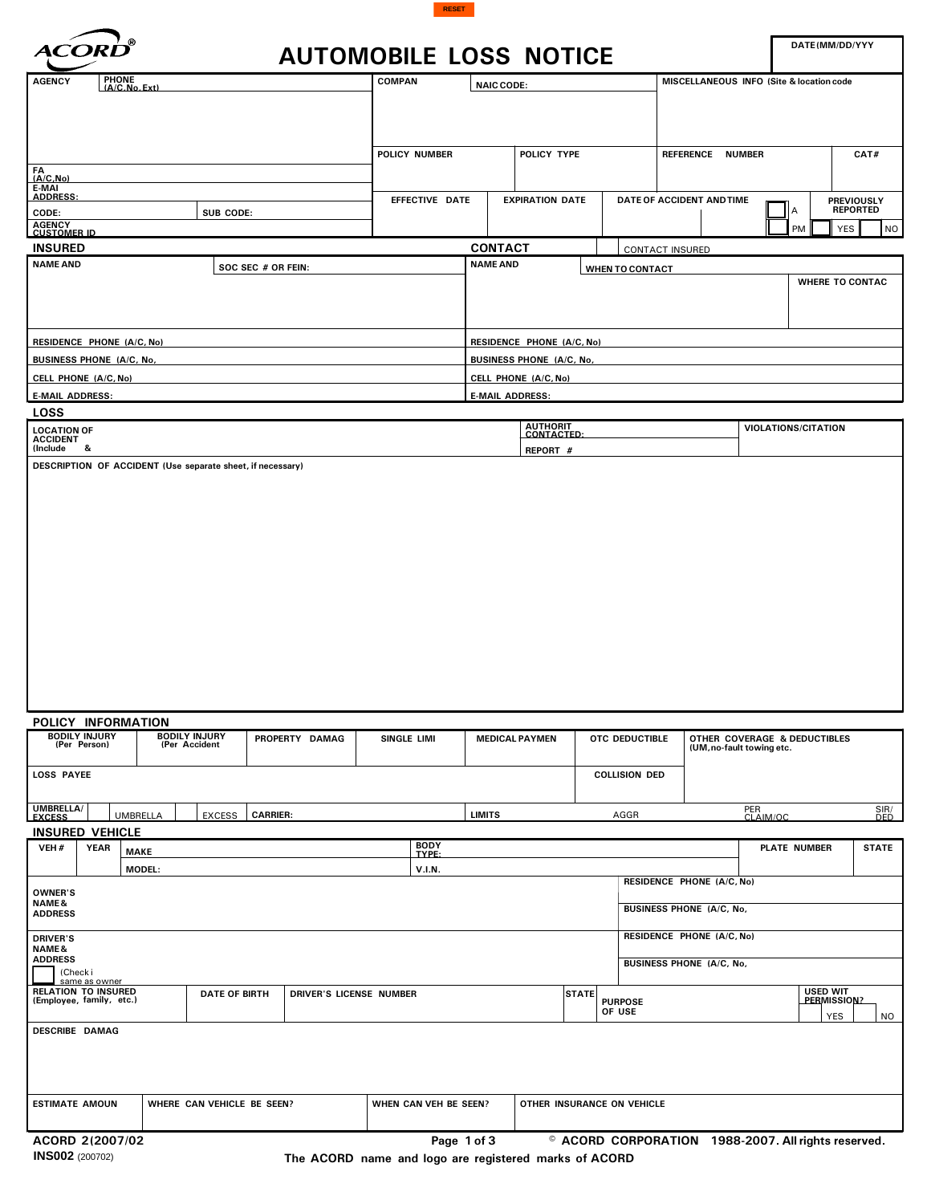



|                                                                                                                       | <b>AUTOMOBILE LOSS NOTICE</b> |                                   |                           |                                |                                                       | DATE(MM/DD/YYY                                            |                                      |  |
|-----------------------------------------------------------------------------------------------------------------------|-------------------------------|-----------------------------------|---------------------------|--------------------------------|-------------------------------------------------------|-----------------------------------------------------------|--------------------------------------|--|
| PHONE<br>(A/C, No, Ext)<br><b>AGENCY</b>                                                                              | <b>COMPAN</b>                 |                                   | <b>NAIC CODE:</b>         |                                |                                                       | MISCELLANEOUS INFO (Site & location code                  |                                      |  |
|                                                                                                                       |                               |                                   |                           |                                |                                                       |                                                           |                                      |  |
| $FA$<br>$(A/C, No)$                                                                                                   | POLICY NUMBER                 |                                   | POLICY TYPE               |                                | REFERENCE NUMBER                                      |                                                           | CAT#                                 |  |
| E-MAI<br><b>ADDRESS:</b>                                                                                              |                               |                                   |                           |                                |                                                       |                                                           |                                      |  |
| CODE:<br>SUB CODE:                                                                                                    | EFFECTIVE DATE                |                                   | <b>EXPIRATION DATE</b>    |                                | DATE OF ACCIDENT AND TIME                             | А                                                         | <b>PREVIOUSLY</b><br><b>REPORTED</b> |  |
| AGENCY<br>CUSTOMER ID                                                                                                 |                               |                                   |                           |                                |                                                       | <b>YES</b><br>PM                                          | <b>NO</b>                            |  |
| <b>INSURED</b><br><b>NAME AND</b>                                                                                     |                               | <b>CONTACT</b><br><b>NAME AND</b> |                           |                                | <b>CONTACT INSURED</b>                                |                                                           |                                      |  |
|                                                                                                                       | SOC SEC # OR FEIN:            |                                   |                           | WHEN TO CONTACT                |                                                       |                                                           |                                      |  |
| <b>RESIDENCE PHONE (A/C, No)</b>                                                                                      |                               |                                   | RESIDENCE PHONE (A/C, No) |                                |                                                       |                                                           |                                      |  |
| <b>BUSINESS PHONE (A/C, No,</b>                                                                                       |                               |                                   | BUSINESS PHONE (A/C, No,  |                                |                                                       |                                                           |                                      |  |
| CELL PHONE (A/C, No)                                                                                                  |                               |                                   | CELL PHONE (A/C, No)      |                                |                                                       |                                                           |                                      |  |
| <b>E-MAIL ADDRESS:</b><br><b>LOSS</b>                                                                                 |                               | <b>E-MAIL ADDRESS:</b>            |                           |                                |                                                       |                                                           |                                      |  |
| <b>LOCATION OF</b><br><b>ACCIDENT</b>                                                                                 |                               | AUTHORIT<br>CONTACTED:            |                           |                                | <b>VIOLATIONS/CITATION</b>                            |                                                           |                                      |  |
| (Include<br>&<br>DESCRIPTION OF ACCIDENT (Use separate sheet, if necessary)                                           |                               |                                   | REPORT #                  |                                |                                                       |                                                           |                                      |  |
|                                                                                                                       |                               |                                   |                           |                                |                                                       |                                                           |                                      |  |
| POLICY INFORMATION<br><b>BODILY INJURY</b><br>(Per Person)<br><b>BODILY INJURY</b><br>(Per Accident<br>PROPERTY DAMAG | SINGLE LIMI                   |                                   | <b>MEDICAL PAYMEN</b>     | OTC DEDUCTIBLE                 |                                                       | OTHER COVERAGE & DEDUCTIBLES<br>(UM, no-fault towing etc. |                                      |  |
| <b>LOSS PAYEE</b>                                                                                                     |                               |                                   |                           | <b>COLLISION DED</b>           |                                                       |                                                           |                                      |  |
| <b>UMBRELLA/</b><br><b>FXCESS</b><br><b>UMBRELLA</b><br><b>EXCESS</b><br><b>CARRIER:</b>                              |                               | <b>LIMITS</b>                     |                           | AGGR                           |                                                       | PER<br>CLAIM/OC                                           | SIR/<br>DED                          |  |
| <b>INSURED VEHICLE</b>                                                                                                |                               |                                   |                           |                                |                                                       |                                                           |                                      |  |
| VEH#<br><b>YEAR</b><br><b>MAKE</b>                                                                                    | BODY<br>TYPE:                 |                                   |                           |                                |                                                       | <b>PLATE NUMBER</b>                                       | <b>STATE</b>                         |  |
| <b>MODEL:</b><br><b>OWNER'S</b><br><b>NAME&amp;</b><br><b>ADDRESS</b>                                                 | V.I.N.                        |                                   |                           |                                | RESIDENCE PHONE (A/C, No)<br>BUSINESS PHONE (A/C, No, |                                                           |                                      |  |
| <b>DRIVER'S</b>                                                                                                       |                               |                                   |                           |                                | RESIDENCE PHONE (A/C, No)                             |                                                           |                                      |  |
| <b>NAME&amp;</b><br><b>ADDRESS</b><br>(Checki                                                                         |                               |                                   |                           |                                | BUSINESS PHONE (A/C, No,                              |                                                           |                                      |  |
| same as owner<br><b>RELATION TO INSURED</b><br><b>DATE OF BIRTH</b><br>(Employee, family, etc.)                       | DRIVER'S LICENSE NUMBER       |                                   |                           | <b>STATE</b><br><b>PURPOSE</b> |                                                       | <b>USED WIT</b><br>PERMISSION?                            |                                      |  |
| <b>DESCRIBE DAMAG</b>                                                                                                 |                               |                                   |                           | OF USE                         |                                                       | YES                                                       | <b>NO</b>                            |  |
| <b>ESTIMATE AMOUN</b><br>WHERE CAN VEHICLE BE SEEN?                                                                   | WHEN CAN VEH BE SEEN?         |                                   |                           | OTHER INSURANCE ON VEHICLE     |                                                       |                                                           |                                      |  |

**INS002** (200702)

**The ACORD name and logo are registered marks of ACORD**